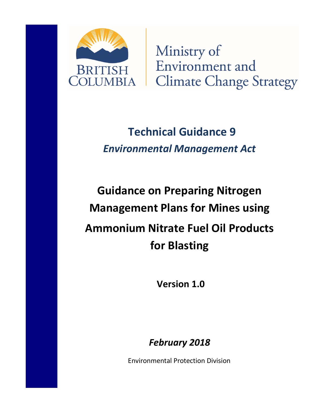

Ministry of Environment and **Climate Change Strategy** 

# **Technical Guidance 9** *Environmental Management Act*

# **Guidance on Preparing Nitrogen Management Plans for Mines using Ammonium Nitrate Fuel Oil Products for Blasting**

**Version 1.0**

*February 2018*

Environmental Protection Division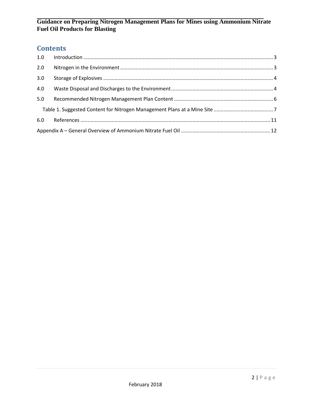# **Contents**

| 1.0 |  |  |
|-----|--|--|
| 2.0 |  |  |
| 3.0 |  |  |
| 4.0 |  |  |
| 5.0 |  |  |
|     |  |  |
| 6.0 |  |  |
|     |  |  |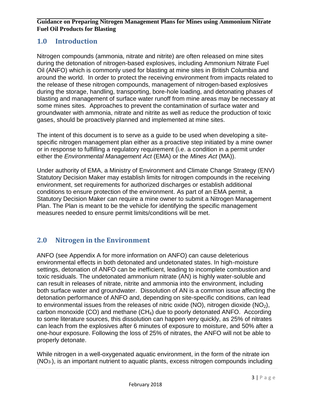# <span id="page-2-0"></span>**1.0 Introduction**

Nitrogen compounds (ammonia, nitrate and nitrite) are often released on mine sites during the detonation of nitrogen-based explosives, including Ammonium Nitrate Fuel Oil (ANFO) which is commonly used for blasting at mine sites in British Columbia and around the world. In order to protect the receiving environment from impacts related to the release of these nitrogen compounds, management of nitrogen-based explosives during the storage, handling, transporting, bore-hole loading, and detonating phases of blasting and management of surface water runoff from mine areas may be necessary at some mines sites. Approaches to prevent the contamination of surface water and groundwater with ammonia, nitrate and nitrite as well as reduce the production of toxic gases, should be proactively planned and implemented at mine sites.

The intent of this document is to serve as a guide to be used when developing a sitespecific nitrogen management plan either as a proactive step initiated by a mine owner or in response to fulfilling a regulatory requirement (i.e. a condition in a permit under either the *Environmental Management Act* (EMA) or the *Mines Act* (MA)).

Under authority of EMA, a Ministry of Environment and Climate Change Strategy (ENV) Statutory Decision Maker may establish limits for nitrogen compounds in the receiving environment, set requirements for authorized discharges or establish additional conditions to ensure protection of the environment. As part of an EMA permit, a Statutory Decision Maker can require a mine owner to submit a Nitrogen Management Plan. The Plan is meant to be the vehicle for identifying the specific management measures needed to ensure permit limits/conditions will be met.

# <span id="page-2-1"></span>**2.0 Nitrogen in the Environment**

ANFO (see Appendix A for more information on ANFO) can cause deleterious environmental effects in both detonated and undetonated states. In high-moisture settings, detonation of ANFO can be inefficient, leading to incomplete combustion and toxic residuals. The undetonated ammonium nitrate (AN) is highly water-soluble and can result in releases of nitrate, nitrite and ammonia into the environment, including both surface water and groundwater. Dissolution of AN is a common issue affecting the detonation performance of ANFO and, depending on site-specific conditions, can lead to environmental issues from the releases of nitric oxide (NO), nitrogen dioxide (NO<sub>2</sub>), carbon monoxide (CO) and methane  $(CH<sub>4</sub>)$  due to poorly detonated ANFO. According to some literature sources, this dissolution can happen very quickly, as 25% of nitrates can leach from the explosives after 6 minutes of exposure to moisture, and 50% after a one-hour exposure. Following the loss of 25% of nitrates, the ANFO will not be able to properly detonate.

While nitrogen in a well-oxygenated aquatic environment, in the form of the nitrate ion (NO3-), is an important nutrient to aquatic plants, excess nitrogen compounds including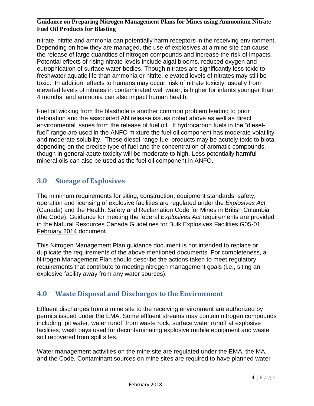nitrate, nitrite and ammonia can potentially harm receptors in the receiving environment. Depending on how they are managed, the use of explosives at a mine site can cause the release of large quantities of nitrogen compounds and increase the risk of impacts. Potential effects of rising nitrate levels include algal blooms, reduced oxygen and eutrophication of surface water bodies. Though nitrates are significantly less toxic to freshwater aquatic life than ammonia or nitrite, elevated levels of nitrates may still be toxic. In addition, effects to humans may occur: risk of nitrate toxicity, usually from elevated levels of nitrates in contaminated well water, is higher for infants younger than 4 months, and ammonia can also impact human health.

Fuel oil wicking from the blasthole is another common problem leading to poor detonation and the associated AN release issues noted above as well as direct environmental issues from the release of fuel oil. If hydrocarbon fuels in the "dieselfuel" range are used in the ANFO mixture the fuel oil component has moderate volatility and moderate solubility. These diesel-range fuel products may be acutely toxic to biota, depending on the precise type of fuel and the concentration of aromatic compounds, though in general acute toxicity will be moderate to high. Less potentially harmful mineral oils can also be used as the fuel oil component in ANFO.

# <span id="page-3-0"></span>**3.0 Storage of Explosives**

The minimum requirements for siting, construction, equipment standards, safety, operation and licensing of explosive facilities are regulated under the *Explosives Act* (Canada) and the Health, Safety and Reclamation Code for Mines in British Columbia (the Code). Guidance for meeting the federal *Explosives Act* requirements are provided in the Natural Resources Canada Guidelines for Bulk Explosives Facilities G05-01 February 2014 document.

This Nitrogen Management Plan guidance document is not intended to replace or duplicate the requirements of the above mentioned documents. For completeness, a Nitrogen Management Plan should describe the actions taken to meet regulatory requirements that contribute to meeting nitrogen management goals (i.e., siting an explosive facility away from any water sources).

# <span id="page-3-1"></span>**4.0 Waste Disposal and Discharges to the Environment**

Effluent discharges from a mine site to the receiving environment are authorized by permits issued under the EMA. Some effluent streams may contain nitrogen compounds including: pit water, water runoff from waste rock, surface water runoff at explosive facilities, wash bays used for decontaminating explosive mobile equipment and waste soil recovered from spill sites.

Water management activities on the mine site are regulated under the EMA, the MA, and the Code. Contaminant sources on mine sites are required to have planned water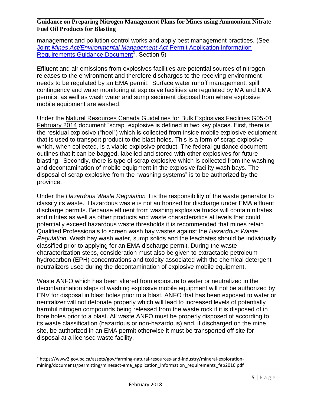management and pollution control works and apply best management practices. (See Joint *[Mines Act/Environmental Management Act](https://www2.gov.bc.ca/assets/gov/farming-natural-resources-and-industry/mineral-exploration-mining/documents/permitting/minesact-ema_application_information_requirements_feb2016.pdf)* Permit Application Information [Requirements Guidance Document](https://www2.gov.bc.ca/assets/gov/farming-natural-resources-and-industry/mineral-exploration-mining/documents/permitting/minesact-ema_application_information_requirements_feb2016.pdf)<sup>1</sup>, Section 5)

Effluent and air emissions from explosives facilities are potential sources of nitrogen releases to the environment and therefore discharges to the receiving environment needs to be regulated by an EMA permit. Surface water runoff management, spill contingency and water monitoring at explosive facilities are regulated by MA and EMA permits, as well as wash water and sump sediment disposal from where explosive mobile equipment are washed.

Under the Natural Resources Canada Guidelines for Bulk Explosives Facilities G05-01 February 2014 document "scrap" explosive is defined in two key places. First, there is the residual explosive ("heel") which is collected from inside mobile explosive equipment that is used to transport product to the blast holes. This is a form of scrap explosive which, when collected, is a viable explosive product. The federal guidance document outlines that it can be bagged, labelled and stored with other explosives for future blasting. Secondly, there is type of scrap explosive which is collected from the washing and decontamination of mobile equipment in the explosive facility wash bays. The disposal of scrap explosive from the "washing systems" is to be authorized by the province.

Under the *Hazardous Waste Regulation* it is the responsibility of the waste generator to classify its waste. Hazardous waste is not authorized for discharge under EMA effluent discharge permits. Because effluent from washing explosive trucks will contain nitrates and nitrites as well as other products and waste characteristics at levels that could potentially exceed hazardous waste thresholds it is recommended that mines retain Qualified Professionals to screen wash bay wastes against the *Hazardous Waste Regulation*. Wash bay wash water, sump solids and the leachates should be individually classified prior to applying for an EMA discharge permit. During the waste characterization steps, consideration must also be given to extractable petroleum hydrocarbon (EPH) concentrations and toxicity associated with the chemical detergent neutralizers used during the decontamination of explosive mobile equipment.

Waste ANFO which has been altered from exposure to water or neutralized in the decontamination steps of washing explosive mobile equipment will not be authorized by ENV for disposal in blast holes prior to a blast. ANFO that has been exposed to water or neutralizer will not detonate properly which will lead to increased levels of potentially harmful nitrogen compounds being released from the waste rock if it is disposed of in bore holes prior to a blast. All waste ANFO must be properly disposed of according to its waste classification (hazardous or non-hazardous) and, if discharged on the mine site, be authorized in an EMA permit otherwise it must be transported off site for disposal at a licensed waste facility.

 $\overline{\phantom{a}}$ 

<sup>&</sup>lt;sup>1</sup> https://www2.gov.bc.ca/assets/gov/farming-natural-resources-and-industry/mineral-explorationmining/documents/permitting/minesact-ema\_application\_information\_requirements\_feb2016.pdf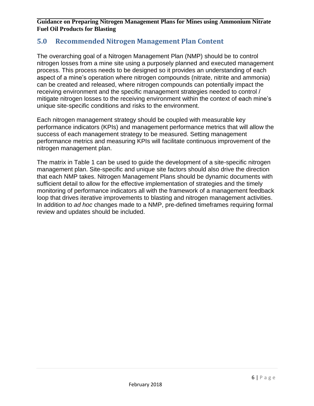#### <span id="page-5-0"></span>**5.0 Recommended Nitrogen Management Plan Content**

The overarching goal of a Nitrogen Management Plan (NMP) should be to control nitrogen losses from a mine site using a purposely planned and executed management process. This process needs to be designed so it provides an understanding of each aspect of a mine's operation where nitrogen compounds (nitrate, nitrite and ammonia) can be created and released, where nitrogen compounds can potentially impact the receiving environment and the specific management strategies needed to control / mitigate nitrogen losses to the receiving environment within the context of each mine's unique site-specific conditions and risks to the environment.

Each nitrogen management strategy should be coupled with measurable key performance indicators (KPIs) and management performance metrics that will allow the success of each management strategy to be measured. Setting management performance metrics and measuring KPIs will facilitate continuous improvement of the nitrogen management plan.

The matrix in Table 1 can be used to guide the development of a site-specific nitrogen management plan. Site-specific and unique site factors should also drive the direction that each NMP takes. Nitrogen Management Plans should be dynamic documents with sufficient detail to allow for the effective implementation of strategies and the timely monitoring of performance indicators all with the framework of a management feedback loop that drives iterative improvements to blasting and nitrogen management activities. In addition to *ad hoc* changes made to a NMP, pre-defined timeframes requiring formal review and updates should be included.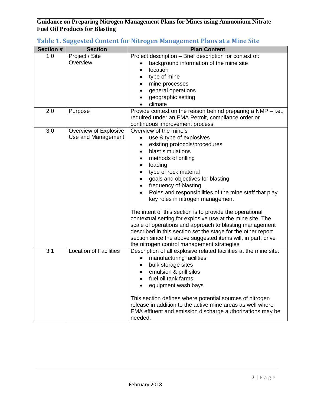| <b>Section #</b> | <b>Section</b>                | <b>Plan Content</b>                                               |
|------------------|-------------------------------|-------------------------------------------------------------------|
| 1.0              | Project / Site                | Project description - Brief description for context of:           |
|                  | Overview                      | background information of the mine site                           |
|                  |                               | location                                                          |
|                  |                               | type of mine                                                      |
|                  |                               | mine processes                                                    |
|                  |                               | general operations                                                |
|                  |                               | geographic setting                                                |
|                  |                               | climate                                                           |
| 2.0              | Purpose                       | Provide context on the reason behind preparing a $NMP - i.e.,$    |
|                  |                               | required under an EMA Permit, compliance order or                 |
|                  |                               | continuous improvement process.                                   |
| 3.0              | Overview of Explosive         | Overview of the mine's                                            |
|                  | Use and Management            | use & type of explosives<br>$\bullet$                             |
|                  |                               | existing protocols/procedures                                     |
|                  |                               | blast simulations                                                 |
|                  |                               | methods of drilling                                               |
|                  |                               | loading                                                           |
|                  |                               | type of rock material                                             |
|                  |                               | goals and objectives for blasting                                 |
|                  |                               | frequency of blasting                                             |
|                  |                               | Roles and responsibilities of the mine staff that play            |
|                  |                               | key roles in nitrogen management                                  |
|                  |                               |                                                                   |
|                  |                               | The intent of this section is to provide the operational          |
|                  |                               | contextual setting for explosive use at the mine site. The        |
|                  |                               | scale of operations and approach to blasting management           |
|                  |                               | described in this section set the stage for the other report      |
|                  |                               | section since the above suggested items will, in part, drive      |
|                  |                               | the nitrogen control management strategies.                       |
| 3.1              | <b>Location of Facilities</b> | Description of all explosive related facilities at the mine site: |
|                  |                               | manufacturing facilities                                          |
|                  |                               | bulk storage sites                                                |
|                  |                               | emulsion & prill silos                                            |
|                  |                               | fuel oil tank farms                                               |
|                  |                               | equipment wash bays                                               |
|                  |                               |                                                                   |
|                  |                               | This section defines where potential sources of nitrogen          |
|                  |                               | release in addition to the active mine areas as well where        |
|                  |                               | EMA effluent and emission discharge authorizations may be         |
|                  |                               | needed.                                                           |

# <span id="page-6-0"></span>**Table 1. Suggested Content for Nitrogen Management Plans at a Mine Site**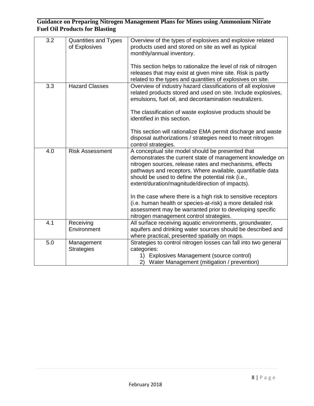| $\overline{3.2}$ | <b>Quantities and Types</b><br>of Explosives | Overview of the types of explosives and explosive related<br>products used and stored on site as well as typical<br>monthly/annual inventory.                                                                                                                                                                                                    |
|------------------|----------------------------------------------|--------------------------------------------------------------------------------------------------------------------------------------------------------------------------------------------------------------------------------------------------------------------------------------------------------------------------------------------------|
|                  |                                              | This section helps to rationalize the level of risk of nitrogen<br>releases that may exist at given mine site. Risk is partly<br>related to the types and quantities of explosives on site.                                                                                                                                                      |
| 3.3              | <b>Hazard Classes</b>                        | Overview of industry hazard classifications of all explosive<br>related products stored and used on site. Include explosives,<br>emulsions, fuel oil, and decontamination neutralizers.                                                                                                                                                          |
|                  |                                              | The classification of waste explosive products should be<br>identified in this section.                                                                                                                                                                                                                                                          |
|                  |                                              | This section will rationalize EMA permit discharge and waste<br>disposal authorizations / strategies need to meet nitrogen<br>control strategies.                                                                                                                                                                                                |
| 4.0              | <b>Risk Assessment</b>                       | A conceptual site model should be presented that<br>demonstrates the current state of management knowledge on<br>nitrogen sources, release rates and mechanisms, effects<br>pathways and receptors. Where available, quantifiable data<br>should be used to define the potential risk (i.e.,<br>extent/duration/magnitude/direction of impacts). |
|                  |                                              | In the case where there is a high risk to sensitive receptors<br>(i.e. human health or species-at-risk) a more detailed risk<br>assessment may be warranted prior to developing specific<br>nitrogen management control strategies.                                                                                                              |
| 4.1              | Receiving<br>Environment                     | All surface receiving aquatic environments, groundwater,<br>aquifers and drinking water sources should be described and<br>where practical, presented spatially on maps.                                                                                                                                                                         |
| 5.0              | Management<br><b>Strategies</b>              | Strategies to control nitrogen losses can fall into two general<br>categories:<br>1) Explosives Management (source control)<br>2) Water Management (mitigation / prevention)                                                                                                                                                                     |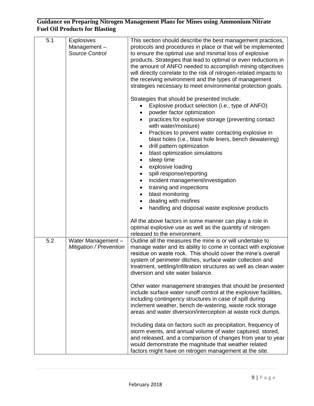| 5.1 | <b>Explosives</b><br>Management-<br>Source Control   | This section should describe the best management practices,<br>protocols and procedures in place or that will be implemented<br>to ensure the optimal use and minimal loss of explosive<br>products. Strategies that lead to optimal or even reductions in<br>the amount of ANFO needed to accomplish mining objectives<br>will directly correlate to the risk of nitrogen-related impacts to<br>the receiving environment and the types of management<br>strategies necessary to meet environmental protection goals.<br>Strategies that should be presented include:<br>Explosive product selection (i.e., type of ANFO)<br>powder factor optimization<br>practices for explosive storage (preventing contact<br>with water/moisture)<br>Practices to prevent water contacting explosive in<br>$\bullet$<br>blast holes (i.e., blast hole liners, bench dewatering)<br>drill pattern optimization<br>blast optimization simulations<br>sleep time<br>explosive loading<br>spill response/reporting<br>incident management/investigation<br>training and inspections<br>$\bullet$<br>blast monitoring<br>dealing with misfires<br>handling and disposal waste explosive products<br>All the above factors in some manner can play a role in |
|-----|------------------------------------------------------|----------------------------------------------------------------------------------------------------------------------------------------------------------------------------------------------------------------------------------------------------------------------------------------------------------------------------------------------------------------------------------------------------------------------------------------------------------------------------------------------------------------------------------------------------------------------------------------------------------------------------------------------------------------------------------------------------------------------------------------------------------------------------------------------------------------------------------------------------------------------------------------------------------------------------------------------------------------------------------------------------------------------------------------------------------------------------------------------------------------------------------------------------------------------------------------------------------------------------------------------|
|     |                                                      | optimal explosive use as well as the quantity of nitrogen<br>released to the environment.                                                                                                                                                                                                                                                                                                                                                                                                                                                                                                                                                                                                                                                                                                                                                                                                                                                                                                                                                                                                                                                                                                                                                    |
| 5.2 | Water Management -<br><b>Mitigation / Prevention</b> | Outline all the measures the mine is or will undertake to<br>manage water and its ability to come in contact with explosive<br>residue on waste rock. This should cover the mine's overall<br>system of perimeter ditches, surface water collection and<br>treatment, settling/infiltration structures as well as clean water<br>diversion and site water balance.                                                                                                                                                                                                                                                                                                                                                                                                                                                                                                                                                                                                                                                                                                                                                                                                                                                                           |
|     |                                                      | Other water management strategies that should be presented<br>include surface water runoff control at the explosive facilities,<br>including contingency structures in case of spill during<br>inclement weather, bench de-watering, waste rock storage<br>areas and water diversion/interception at waste rock dumps.                                                                                                                                                                                                                                                                                                                                                                                                                                                                                                                                                                                                                                                                                                                                                                                                                                                                                                                       |
|     |                                                      | Including data on factors such as precipitation, frequency of<br>storm events, and annual volume of water captured, stored,<br>and released, and a comparison of changes from year to year<br>would demonstrate the magnitude that weather related<br>factors might have on nitrogen management at the site.                                                                                                                                                                                                                                                                                                                                                                                                                                                                                                                                                                                                                                                                                                                                                                                                                                                                                                                                 |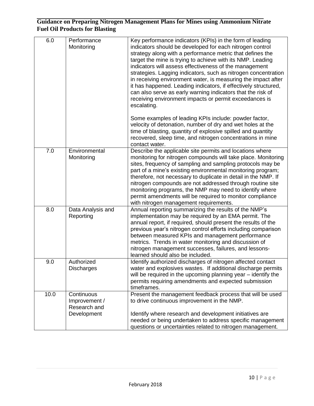| 6.0  | Performance<br>Monitoring                                  | Key performance indicators (KPIs) in the form of leading<br>indicators should be developed for each nitrogen control<br>strategy along with a performance metric that defines the<br>target the mine is trying to achieve with its NMP. Leading<br>indicators will assess effectiveness of the management<br>strategies. Lagging indicators, such as nitrogen concentration<br>in receiving environment water, is measuring the impact after<br>it has happened. Leading indicators, if effectively structured,<br>can also serve as early warning indicators that the risk of<br>receiving environment impacts or permit exceedances is<br>escalating. |
|------|------------------------------------------------------------|---------------------------------------------------------------------------------------------------------------------------------------------------------------------------------------------------------------------------------------------------------------------------------------------------------------------------------------------------------------------------------------------------------------------------------------------------------------------------------------------------------------------------------------------------------------------------------------------------------------------------------------------------------|
|      |                                                            | Some examples of leading KPIs include: powder factor,<br>velocity of detonation, number of dry and wet holes at the<br>time of blasting, quantity of explosive spilled and quantity<br>recovered, sleep time, and nitrogen concentrations in mine<br>contact water.                                                                                                                                                                                                                                                                                                                                                                                     |
| 7.0  | Environmental<br>Monitoring                                | Describe the applicable site permits and locations where<br>monitoring for nitrogen compounds will take place. Monitoring<br>sites, frequency of sampling and sampling protocols may be<br>part of a mine's existing environmental monitoring program;<br>therefore, not necessary to duplicate in detail in the NMP. If<br>nitrogen compounds are not addressed through routine site<br>monitoring programs, the NMP may need to identify where<br>permit amendments will be required to monitor compliance<br>with nitrogen management requirements.                                                                                                  |
| 8.0  | Data Analysis and<br>Reporting                             | Annual reporting summarizing the results of the NMP's<br>implementation may be required by an EMA permit. The<br>annual report, if required, should present the results of the<br>previous year's nitrogen control efforts including comparison<br>between measured KPIs and management performance<br>metrics. Trends in water monitoring and discussion of<br>nitrogen management successes, failures, and lessons-<br>learned should also be included.                                                                                                                                                                                               |
| 9.0  | Authorized<br><b>Discharges</b>                            | Identify authorized discharges of nitrogen affected contact<br>water and explosives wastes. If additional discharge permits<br>will be required in the upcoming planning year - identify the<br>permits requiring amendments and expected submission<br>timeframes.                                                                                                                                                                                                                                                                                                                                                                                     |
| 10.0 | Continuous<br>Improvement /<br>Research and<br>Development | Present the management feedback process that will be used<br>to drive continuous improvement in the NMP.<br>Identify where research and development initiatives are<br>needed or being undertaken to address specific management<br>questions or uncertainties related to nitrogen management.                                                                                                                                                                                                                                                                                                                                                          |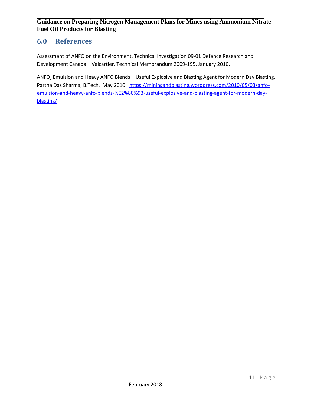### <span id="page-10-0"></span>**6.0 References**

Assessment of ANFO on the Environment. Technical Investigation 09-01 Defence Research and Development Canada – Valcartier. Technical Memorandum 2009-195. January 2010.

ANFO, Emulsion and Heavy ANFO Blends – Useful Explosive and Blasting Agent for Modern Day Blasting. Partha Das Sharma, B.Tech. May 2010. [https://miningandblasting.wordpress.com/2010/05/03/anfo](https://miningandblasting.wordpress.com/2010/05/03/anfo-emulsion-and-heavy-anfo-blends-%E2%80%93-useful-explosive-and-blasting-agent-for-modern-day-blasting/)[emulsion-and-heavy-anfo-blends-%E2%80%93-useful-explosive-and-blasting-agent-for-modern-day](https://miningandblasting.wordpress.com/2010/05/03/anfo-emulsion-and-heavy-anfo-blends-%E2%80%93-useful-explosive-and-blasting-agent-for-modern-day-blasting/)[blasting/](https://miningandblasting.wordpress.com/2010/05/03/anfo-emulsion-and-heavy-anfo-blends-%E2%80%93-useful-explosive-and-blasting-agent-for-modern-day-blasting/)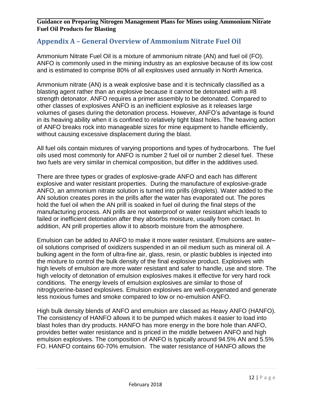### <span id="page-11-0"></span>**Appendix A – General Overview of Ammonium Nitrate Fuel Oil**

Ammonium Nitrate Fuel Oil is a mixture of ammonium nitrate (AN) and fuel oil (FO). ANFO is commonly used in the mining industry as an explosive because of its low cost and is estimated to comprise 80% of all explosives used annually in North America.

Ammonium nitrate (AN) is a weak explosive base and it is technically classified as a blasting agent rather than an explosive because it cannot be detonated with a #8 strength detonator. ANFO requires a primer assembly to be detonated. Compared to other classes of explosives ANFO is an inefficient explosive as it releases large volumes of gases during the detonation process. However, ANFO's advantage is found in its heaving ability when it is confined to relatively tight blast holes. The heaving action of ANFO breaks rock into manageable sizes for mine equipment to handle efficiently, without causing excessive displacement during the blast.

All fuel oils contain mixtures of varying proportions and types of hydrocarbons. The fuel oils used most commonly for ANFO is number 2 fuel oil or number 2 diesel fuel. These two fuels are very similar in chemical composition, but differ in the additives used.

There are three types or grades of explosive-grade ANFO and each has different explosive and water resistant properties. During the manufacture of explosive-grade ANFO, an ammonium nitrate solution is turned into prills (droplets). Water added to the AN solution creates pores in the prills after the water has evaporated out. The pores hold the fuel oil when the AN prill is soaked in fuel oil during the final steps of the manufacturing process. AN prills are not waterproof or water resistant which leads to failed or inefficient detonation after they absorbs moisture, usually from contact. In addition, AN prill properties allow it to absorb moisture from the atmosphere.

Emulsion can be added to ANFO to make it more water resistant. Emulsions are water– oil solutions comprised of oxidizers suspended in an oil medium such as mineral oil. A bulking agent in the form of ultra-fine air, glass, resin, or plastic bubbles is injected into the mixture to control the bulk density of the final explosive product. Explosives with high levels of emulsion are more water resistant and safer to handle, use and store. The high velocity of detonation of emulsion explosives makes it effective for very hard rock conditions. The energy levels of emulsion explosives are similar to those of nitroglycerine-based explosives. Emulsion explosives are well-oxygenated and generate less noxious fumes and smoke compared to low or no-emulsion ANFO.

High bulk density blends of ANFO and emulsion are classed as Heavy ANFO (HANFO). The consistency of HANFO allows it to be pumped which makes it easier to load into blast holes than dry products. HANFO has more energy in the bore hole than ANFO, provides better water resistance and is priced in the middle between ANFO and high emulsion explosives. The composition of ANFO is typically around 94.5% AN and 5.5% FO. HANFO contains 60-70% emulsion. The water resistance of HANFO allows the